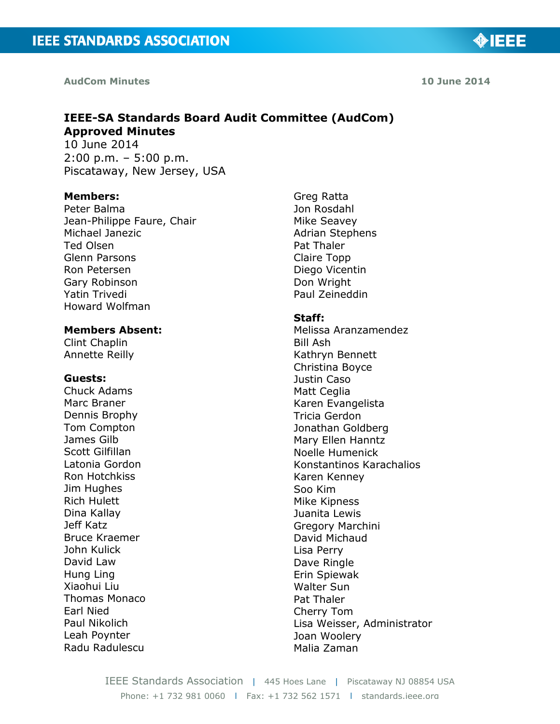**AudCom Minutes 10 June 2014**

**IEEE-SA Standards Board Audit Committee (AudCom) Approved Minutes** 10 June 2014

2:00 p.m. – 5:00 p.m. Piscataway, New Jersey, USA

#### **Members:**

Peter Balma Jean-Philippe Faure, Chair Michael Janezic Ted Olsen Glenn Parsons Ron Petersen Gary Robinson Yatin Trivedi Howard Wolfman

#### **Members Absent:**

Clint Chaplin Annette Reilly

#### **Guests:**

Chuck Adams Marc Braner Dennis Brophy Tom Compton James Gilb Scott Gilfillan Latonia Gordon Ron Hotchkiss Jim Hughes Rich Hulett Dina Kallay Jeff Katz Bruce Kraemer John Kulick David Law Hung Ling Xiaohui Liu Thomas Monaco Earl Nied Paul Nikolich Leah Poynter Radu Radulescu

Greg Ratta Jon Rosdahl Mike Seavey Adrian Stephens Pat Thaler Claire Topp Diego Vicentin Don Wright Paul Zeineddin

#### **Staff:**

Melissa Aranzamendez Bill Ash Kathryn Bennett Christina Boyce Justin Caso Matt Ceglia Karen Evangelista Tricia Gerdon Jonathan Goldberg Mary Ellen Hanntz Noelle Humenick Konstantinos Karachalios Karen Kenney Soo Kim Mike Kipness Juanita Lewis Gregory Marchini David Michaud Lisa Perry Dave Ringle Erin Spiewak Walter Sun Pat Thaler Cherry Tom Lisa Weisser, Administrator Joan Woolery Malia Zaman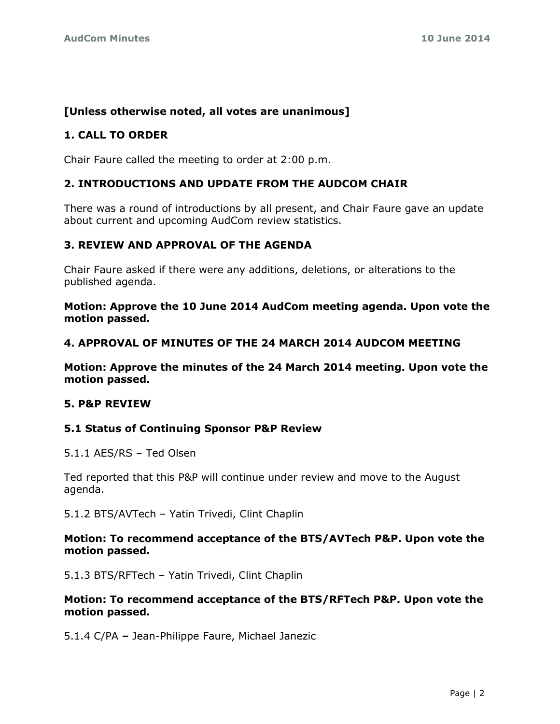# **[Unless otherwise noted, all votes are unanimous]**

## **1. CALL TO ORDER**

Chair Faure called the meeting to order at 2:00 p.m.

## **2. INTRODUCTIONS AND UPDATE FROM THE AUDCOM CHAIR**

There was a round of introductions by all present, and Chair Faure gave an update about current and upcoming AudCom review statistics.

## **3. REVIEW AND APPROVAL OF THE AGENDA**

Chair Faure asked if there were any additions, deletions, or alterations to the published agenda.

**Motion: Approve the 10 June 2014 AudCom meeting agenda. Upon vote the motion passed.**

#### **4. APPROVAL OF MINUTES OF THE 24 MARCH 2014 AUDCOM MEETING**

**Motion: Approve the minutes of the 24 March 2014 meeting. Upon vote the motion passed.**

#### **5. P&P REVIEW**

#### **5.1 Status of Continuing Sponsor P&P Review**

5.1.1 AES/RS – Ted Olsen

Ted reported that this P&P will continue under review and move to the August agenda.

5.1.2 BTS/AVTech – Yatin Trivedi, Clint Chaplin

#### **Motion: To recommend acceptance of the BTS/AVTech P&P. Upon vote the motion passed.**

5.1.3 BTS/RFTech – Yatin Trivedi, Clint Chaplin

## **Motion: To recommend acceptance of the BTS/RFTech P&P. Upon vote the motion passed.**

5.1.4 C/PA **–** Jean-Philippe Faure, Michael Janezic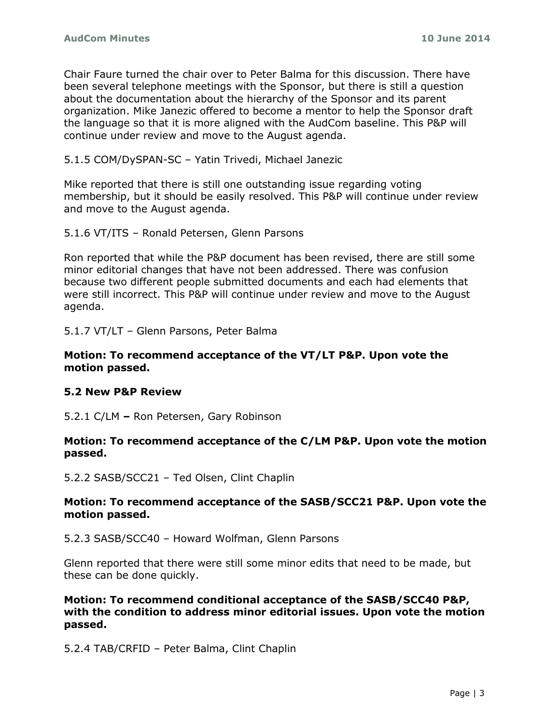Chair Faure turned the chair over to Peter Balma for this discussion. There have been several telephone meetings with the Sponsor, but there is still a question about the documentation about the hierarchy of the Sponsor and its parent organization. Mike Janezic offered to become a mentor to help the Sponsor draft the language so that it is more aligned with the AudCom baseline. This P&P will continue under review and move to the August agenda.

5.1.5 COM/DySPAN-SC – Yatin Trivedi, Michael Janezic

Mike reported that there is still one outstanding issue regarding voting membership, but it should be easily resolved. This P&P will continue under review and move to the August agenda.

```
5.1.6 VT/ITS – Ronald Petersen, Glenn Parsons
```
Ron reported that while the P&P document has been revised, there are still some minor editorial changes that have not been addressed. There was confusion because two different people submitted documents and each had elements that were still incorrect. This P&P will continue under review and move to the August agenda.

5.1.7 VT/LT – Glenn Parsons, Peter Balma

#### **Motion: To recommend acceptance of the VT/LT P&P. Upon vote the motion passed.**

# **5.2 New P&P Review**

5.2.1 C/LM **–** Ron Petersen, Gary Robinson

#### **Motion: To recommend acceptance of the C/LM P&P. Upon vote the motion passed.**

5.2.2 SASB/SCC21 – Ted Olsen, Clint Chaplin

#### **Motion: To recommend acceptance of the SASB/SCC21 P&P. Upon vote the motion passed.**

5.2.3 SASB/SCC40 – Howard Wolfman, Glenn Parsons

Glenn reported that there were still some minor edits that need to be made, but these can be done quickly.

**Motion: To recommend conditional acceptance of the SASB/SCC40 P&P, with the condition to address minor editorial issues. Upon vote the motion passed.**

5.2.4 TAB/CRFID – Peter Balma, Clint Chaplin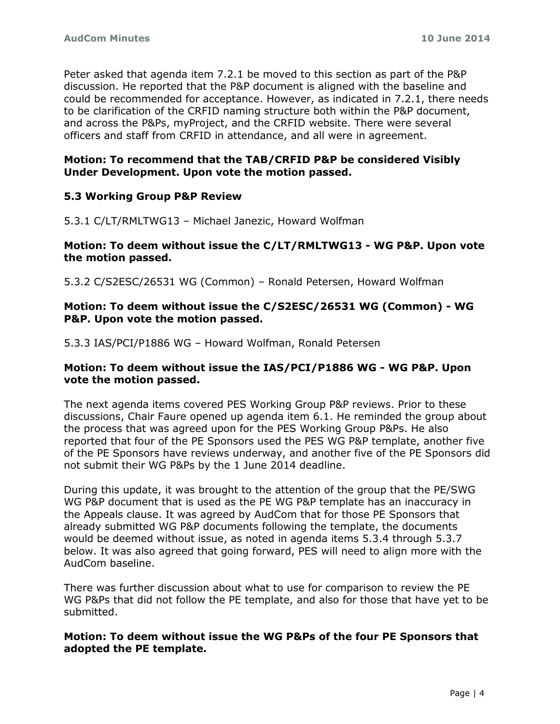Peter asked that agenda item 7.2.1 be moved to this section as part of the P&P discussion. He reported that the P&P document is aligned with the baseline and could be recommended for acceptance. However, as indicated in 7.2.1, there needs to be clarification of the CRFID naming structure both within the P&P document, and across the P&Ps, myProject, and the CRFID website. There were several officers and staff from CRFID in attendance, and all were in agreement.

# **Motion: To recommend that the TAB/CRFID P&P be considered Visibly Under Development. Upon vote the motion passed.**

## **5.3 Working Group P&P Review**

5.3.1 C/LT/RMLTWG13 – Michael Janezic, Howard Wolfman

#### **Motion: To deem without issue the C/LT/RMLTWG13 - WG P&P. Upon vote the motion passed.**

5.3.2 C/S2ESC/26531 WG (Common) – Ronald Petersen, Howard Wolfman

#### **Motion: To deem without issue the C/S2ESC/26531 WG (Common) - WG P&P. Upon vote the motion passed.**

5.3.3 IAS/PCI/P1886 WG – Howard Wolfman, Ronald Petersen

#### **Motion: To deem without issue the IAS/PCI/P1886 WG - WG P&P. Upon vote the motion passed.**

The next agenda items covered PES Working Group P&P reviews. Prior to these discussions, Chair Faure opened up agenda item 6.1. He reminded the group about the process that was agreed upon for the PES Working Group P&Ps. He also reported that four of the PE Sponsors used the PES WG P&P template, another five of the PE Sponsors have reviews underway, and another five of the PE Sponsors did not submit their WG P&Ps by the 1 June 2014 deadline.

During this update, it was brought to the attention of the group that the PE/SWG WG P&P document that is used as the PE WG P&P template has an inaccuracy in the Appeals clause. It was agreed by AudCom that for those PE Sponsors that already submitted WG P&P documents following the template, the documents would be deemed without issue, as noted in agenda items 5.3.4 through 5.3.7 below. It was also agreed that going forward, PES will need to align more with the AudCom baseline.

There was further discussion about what to use for comparison to review the PE WG P&Ps that did not follow the PE template, and also for those that have yet to be submitted.

## **Motion: To deem without issue the WG P&Ps of the four PE Sponsors that adopted the PE template.**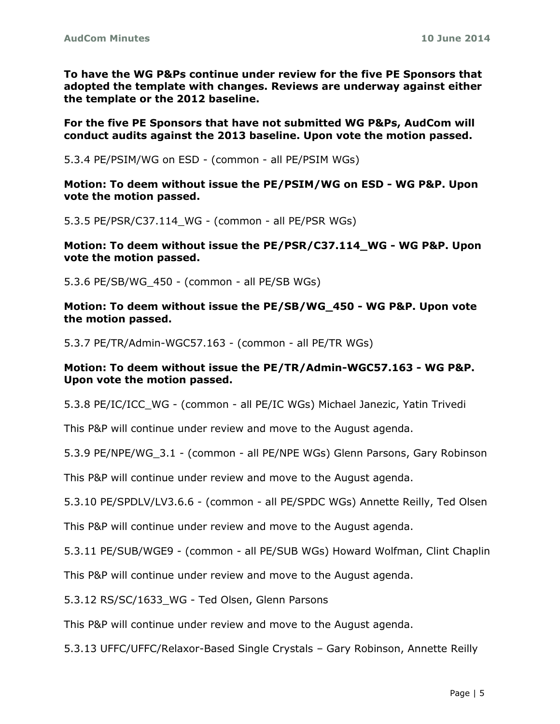**To have the WG P&Ps continue under review for the five PE Sponsors that adopted the template with changes. Reviews are underway against either the template or the 2012 baseline.**

**For the five PE Sponsors that have not submitted WG P&Ps, AudCom will conduct audits against the 2013 baseline. Upon vote the motion passed.**

5.3.4 PE/PSIM/WG on ESD - (common - all PE/PSIM WGs)

**Motion: To deem without issue the PE/PSIM/WG on ESD - WG P&P. Upon vote the motion passed.**

5.3.5 PE/PSR/C37.114\_WG - (common - all PE/PSR WGs)

**Motion: To deem without issue the PE/PSR/C37.114\_WG - WG P&P. Upon vote the motion passed.**

5.3.6 PE/SB/WG\_450 - (common - all PE/SB WGs)

**Motion: To deem without issue the PE/SB/WG\_450 - WG P&P. Upon vote the motion passed.**

5.3.7 PE/TR/Admin-WGC57.163 - (common - all PE/TR WGs)

#### **Motion: To deem without issue the PE/TR/Admin-WGC57.163 - WG P&P. Upon vote the motion passed.**

5.3.8 PE/IC/ICC\_WG - (common - all PE/IC WGs) Michael Janezic, Yatin Trivedi

This P&P will continue under review and move to the August agenda.

5.3.9 PE/NPE/WG\_3.1 - (common - all PE/NPE WGs) Glenn Parsons, Gary Robinson

This P&P will continue under review and move to the August agenda.

5.3.10 PE/SPDLV/LV3.6.6 - (common - all PE/SPDC WGs) Annette Reilly, Ted Olsen

This P&P will continue under review and move to the August agenda.

5.3.11 PE/SUB/WGE9 - (common - all PE/SUB WGs) Howard Wolfman, Clint Chaplin

This P&P will continue under review and move to the August agenda.

5.3.12 RS/SC/1633 WG - Ted Olsen, Glenn Parsons

This P&P will continue under review and move to the August agenda.

5.3.13 UFFC/UFFC/Relaxor-Based Single Crystals – Gary Robinson, Annette Reilly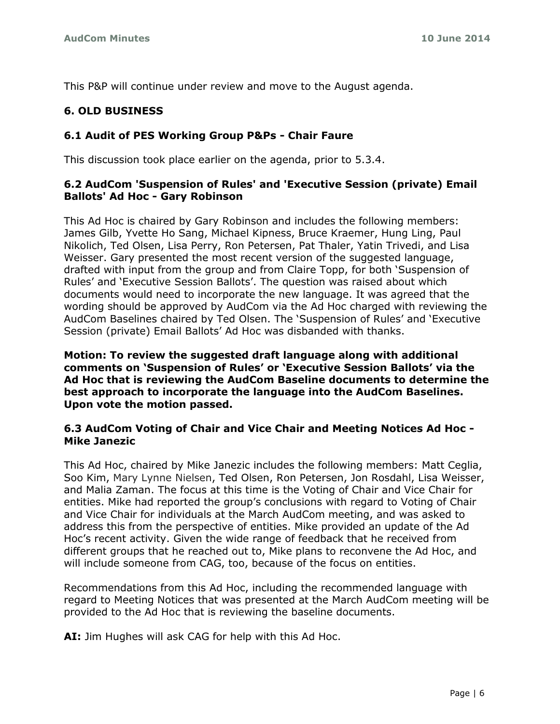This P&P will continue under review and move to the August agenda.

# **6. OLD BUSINESS**

# **6.1 Audit of PES Working Group P&Ps - Chair Faure**

This discussion took place earlier on the agenda, prior to 5.3.4.

# **6.2 AudCom 'Suspension of Rules' and 'Executive Session (private) Email Ballots' Ad Hoc - Gary Robinson**

This Ad Hoc is chaired by Gary Robinson and includes the following members: James Gilb, Yvette Ho Sang, Michael Kipness, Bruce Kraemer, Hung Ling, Paul Nikolich, Ted Olsen, Lisa Perry, Ron Petersen, Pat Thaler, Yatin Trivedi, and Lisa Weisser. Gary presented the most recent version of the suggested language, drafted with input from the group and from Claire Topp, for both 'Suspension of Rules' and 'Executive Session Ballots'. The question was raised about which documents would need to incorporate the new language. It was agreed that the wording should be approved by AudCom via the Ad Hoc charged with reviewing the AudCom Baselines chaired by Ted Olsen. The 'Suspension of Rules' and 'Executive Session (private) Email Ballots' Ad Hoc was disbanded with thanks.

**Motion: To review the suggested draft language along with additional comments on 'Suspension of Rules' or 'Executive Session Ballots' via the Ad Hoc that is reviewing the AudCom Baseline documents to determine the best approach to incorporate the language into the AudCom Baselines. Upon vote the motion passed.**

## **6.3 AudCom Voting of Chair and Vice Chair and Meeting Notices Ad Hoc - Mike Janezic**

This Ad Hoc, chaired by Mike Janezic includes the following members: Matt Ceglia, Soo Kim, Mary Lynne Nielsen, Ted Olsen, Ron Petersen, Jon Rosdahl, Lisa Weisser, and Malia Zaman. The focus at this time is the Voting of Chair and Vice Chair for entities. Mike had reported the group's conclusions with regard to Voting of Chair and Vice Chair for individuals at the March AudCom meeting, and was asked to address this from the perspective of entities. Mike provided an update of the Ad Hoc's recent activity. Given the wide range of feedback that he received from different groups that he reached out to, Mike plans to reconvene the Ad Hoc, and will include someone from CAG, too, because of the focus on entities.

Recommendations from this Ad Hoc, including the recommended language with regard to Meeting Notices that was presented at the March AudCom meeting will be provided to the Ad Hoc that is reviewing the baseline documents.

**AI:** Jim Hughes will ask CAG for help with this Ad Hoc.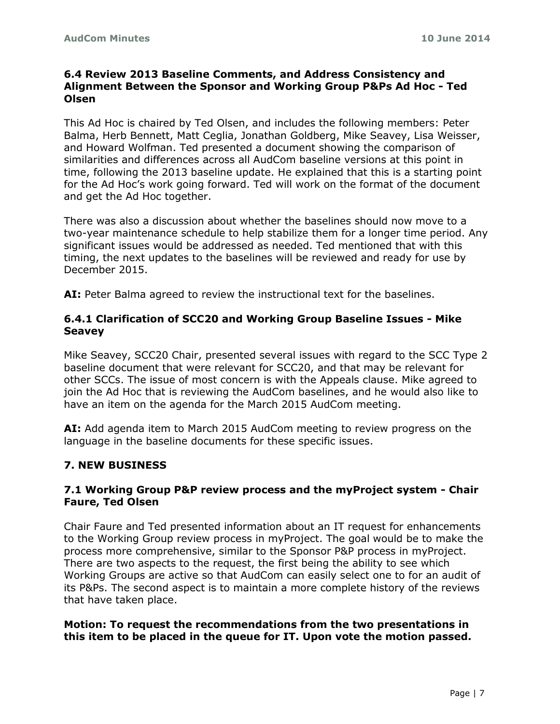# **6.4 Review 2013 Baseline Comments, and Address Consistency and Alignment Between the Sponsor and Working Group P&Ps Ad Hoc - Ted Olsen**

This Ad Hoc is chaired by Ted Olsen, and includes the following members: Peter Balma, Herb Bennett, Matt Ceglia, Jonathan Goldberg, Mike Seavey, Lisa Weisser, and Howard Wolfman. Ted presented a document showing the comparison of similarities and differences across all AudCom baseline versions at this point in time, following the 2013 baseline update. He explained that this is a starting point for the Ad Hoc's work going forward. Ted will work on the format of the document and get the Ad Hoc together.

There was also a discussion about whether the baselines should now move to a two-year maintenance schedule to help stabilize them for a longer time period. Any significant issues would be addressed as needed. Ted mentioned that with this timing, the next updates to the baselines will be reviewed and ready for use by December 2015.

**AI:** Peter Balma agreed to review the instructional text for the baselines.

# **6.4.1 Clarification of SCC20 and Working Group Baseline Issues - Mike Seavey**

Mike Seavey, SCC20 Chair, presented several issues with regard to the SCC Type 2 baseline document that were relevant for SCC20, and that may be relevant for other SCCs. The issue of most concern is with the Appeals clause. Mike agreed to join the Ad Hoc that is reviewing the AudCom baselines, and he would also like to have an item on the agenda for the March 2015 AudCom meeting.

**AI:** Add agenda item to March 2015 AudCom meeting to review progress on the language in the baseline documents for these specific issues.

# **7. NEW BUSINESS**

## **7.1 Working Group P&P review process and the myProject system - Chair Faure, Ted Olsen**

Chair Faure and Ted presented information about an IT request for enhancements to the Working Group review process in myProject. The goal would be to make the process more comprehensive, similar to the Sponsor P&P process in myProject. There are two aspects to the request, the first being the ability to see which Working Groups are active so that AudCom can easily select one to for an audit of its P&Ps. The second aspect is to maintain a more complete history of the reviews that have taken place.

#### **Motion: To request the recommendations from the two presentations in this item to be placed in the queue for IT. Upon vote the motion passed.**